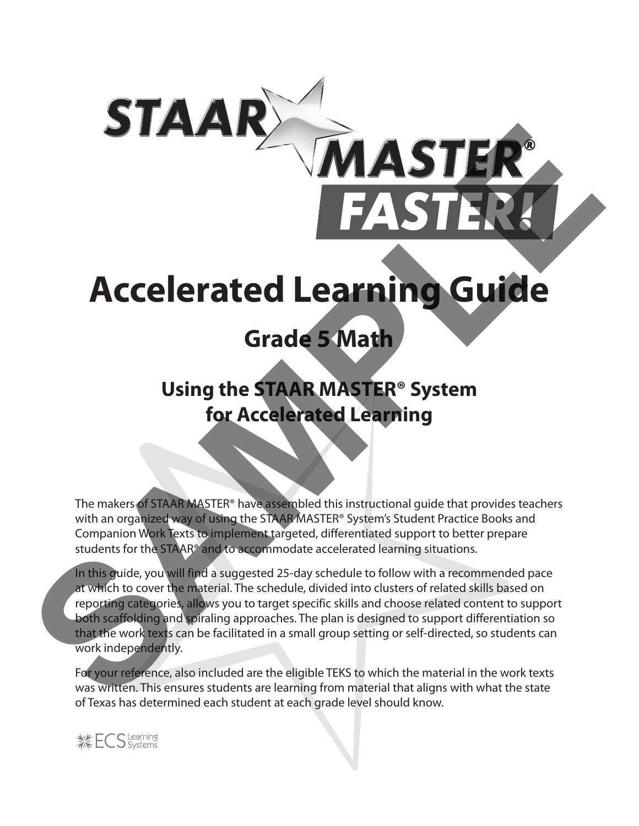# **Accelerated Learning Guide**

**MASTE** 

# **Grade 5 Math**

# **Using the STAAR MASTER® System for Accelerated Learning**

The makers of STAAR MASTER® have assembled this instructional guide that provides teachers with an organized way of using the STAAR MASTER® System's Student Practice Books and Companion Work Texts to implement targeted, differentiated support to better prepare students for the STAAR® and to accommodate accelerated learning situations.

In this guide, you will find a suggested 25-day schedule to follow with a recommended pace at which to cover the material. The schedule, divided into clusters of related skills based on reporting categories, allows you to target specific skills and choose related content to support both scaffolding and spiraling approaches. The plan is designed to support differentiation so that the work texts can be facilitated in a small group setting or self-directed, so students can work independently. **STER**<br>
FASTER<br>
FASTER<br>
FASTER<br>
STERNENTER<br>
Grade 5 Math<br>
Using the STAAR MASTER® System<br>
for Accelerated Learning<br>
The material state of the state of the state of the state of the state of the state of the state of the st

For your reference, also included are the eligible TEKS to which the material in the work texts was written. This ensures students are learning from material that aligns with what the state of Texas has determined each student at each grade level should know.

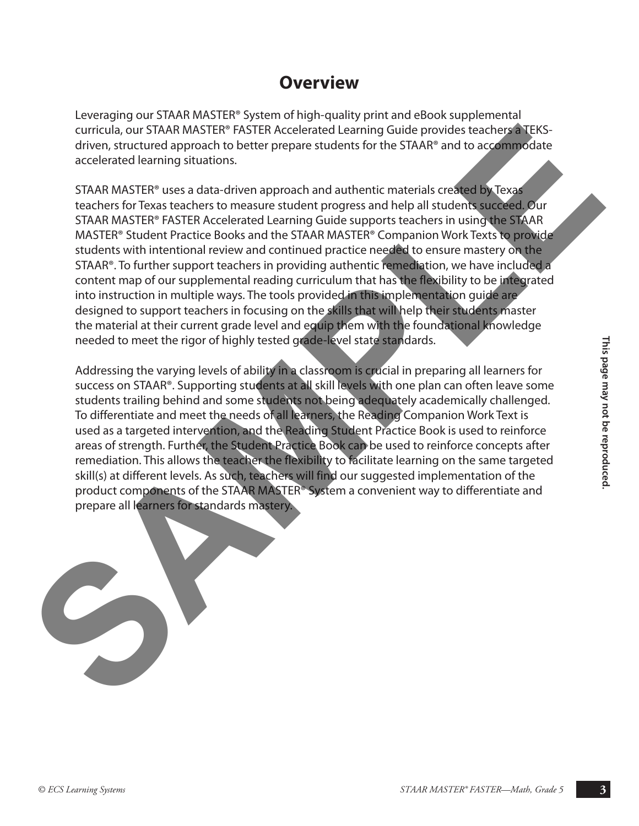### **Overview**

Leveraging our STAAR MASTER® System of high-quality print and eBook supplemental curricula, our STAAR MASTER® FASTER Accelerated Learning Guide provides teachers a TEKSdriven, structured approach to better prepare students for the STAAR® and to accommodate accelerated learning situations.

STAAR MASTER® uses a data-driven approach and authentic materials created by Texas teachers for Texas teachers to measure student progress and help all students succeed. Our STAAR MASTER® FASTER Accelerated Learning Guide supports teachers in using the STAAR MASTER® Student Practice Books and the STAAR MASTER® Companion Work Texts to provide students with intentional review and continued practice needed to ensure mastery on the STAAR®. To further support teachers in providing authentic remediation, we have included a content map of our supplemental reading curriculum that has the flexibility to be integrated into instruction in multiple ways. The tools provided in this implementation guide are designed to support teachers in focusing on the skills that will help their students master the material at their current grade level and equip them with the foundational knowledge needed to meet the rigor of highly tested grade-level state standards. curricula, our STARN MASTER PINSTER Accelerated Learning Guide provides itselected and provides in the second state and the second state and the second state and the second state and the second state and the second state a

meeded to meet the rigor of highly tested gade a livel state standards.<br>
Addressing the varying level as a lacking in a scaps on is such all in preparing all learners for<br>
success on STARP: Supporting students at all skill Addressing the varying levels of ability in a classroom is crucial in preparing all learners for success on STAAR®. Supporting students at all skill levels with one plan can often leave some students trailing behind and some students not being adequately academically challenged. To differentiate and meet the needs of all learners, the Reading Companion Work Text is used as a targeted intervention, and the Reading Student Practice Book is used to reinforce areas of strength. Further, the Student Practice Book can be used to reinforce concepts after remediation. This allows the teacher the flexibility to facilitate learning on the same targeted skill(s) at different levels. As such, teachers will find our suggested implementation of the product components of the STAAR MASTER® System a convenient way to differentiate and prepare all learners for standards mastery.

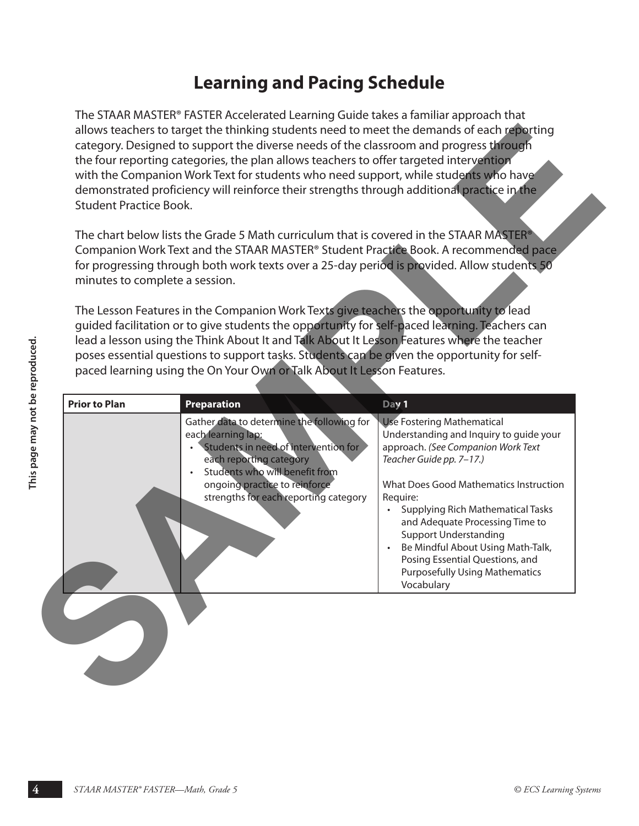### **Learning and Pacing Schedule**

The STAAR MASTER® FASTER Accelerated Learning Guide takes a familiar approach that allows teachers to target the thinking students need to meet the demands of each reporting category. Designed to support the diverse needs of the classroom and progress through the four reporting categories, the plan allows teachers to offer targeted intervention with the Companion Work Text for students who need support, while students who have demonstrated proficiency will reinforce their strengths through additional practice in the Student Practice Book.

|                                 | <b>Student Practice Book.</b><br>minutes to complete a session. | allows teachers to target the thinking students need to meet the demands of each reporting<br>category. Designed to support the diverse needs of the classroom and progress through<br>the four reporting categories, the plan allows teachers to offer targeted intervention<br>with the Companion Work Text for students who need support, while students who have<br>demonstrated proficiency will reinforce their strengths through additional practice in the<br>The chart below lists the Grade 5 Math curriculum that is covered in the STAAR MASTER <sup>®</sup><br>Companion Work Text and the STAAR MASTER <sup>®</sup> Student Practice Book. A recommended pace<br>for progressing through both work texts over a 25-day period is provided. Allow students 50<br>The Lesson Features in the Companion Work Texts give teachers the opportunity to lead<br>guided facilitation or to give students the opportunity for self-paced learning. Teachers can<br>lead a lesson using the Think About It and Talk About It Lesson Features where the teacher<br>poses essential questions to support tasks. Students can be given the opportunity for self-<br>paced learning using the On Your Own or Talk About It Lesson Features. |                                                                                                                                                                                                                                                                                                                                                                                                                                                             |
|---------------------------------|-----------------------------------------------------------------|---------------------------------------------------------------------------------------------------------------------------------------------------------------------------------------------------------------------------------------------------------------------------------------------------------------------------------------------------------------------------------------------------------------------------------------------------------------------------------------------------------------------------------------------------------------------------------------------------------------------------------------------------------------------------------------------------------------------------------------------------------------------------------------------------------------------------------------------------------------------------------------------------------------------------------------------------------------------------------------------------------------------------------------------------------------------------------------------------------------------------------------------------------------------------------------------------------------------------------------------|-------------------------------------------------------------------------------------------------------------------------------------------------------------------------------------------------------------------------------------------------------------------------------------------------------------------------------------------------------------------------------------------------------------------------------------------------------------|
| This page may not be reproduced | <b>Prior to Plan</b>                                            | <b>Preparation</b><br>Gather data to determine the following for<br>each learning lap:<br>Students in need of intervention for<br>each reporting category<br>Students who will benefit from<br>ongoing practice to reinforce<br>strengths for each reporting category                                                                                                                                                                                                                                                                                                                                                                                                                                                                                                                                                                                                                                                                                                                                                                                                                                                                                                                                                                       | Day 1<br><b>Use Fostering Mathematical</b><br>Understanding and Inquiry to guide your<br>approach. (See Companion Work Text<br>Teacher Guide pp. 7-17.)<br>What Does Good Mathematics Instruction<br>Require:<br><b>Supplying Rich Mathematical Tasks</b><br>and Adequate Processing Time to<br><b>Support Understanding</b><br>Be Mindful About Using Math-Talk,<br>Posing Essential Questions, and<br><b>Purposefully Using Mathematics</b><br>Vocabulary |
|                                 | STAAR MASTER® FASTER-Math, Grade 5                              |                                                                                                                                                                                                                                                                                                                                                                                                                                                                                                                                                                                                                                                                                                                                                                                                                                                                                                                                                                                                                                                                                                                                                                                                                                             | © ECS Learning Systems                                                                                                                                                                                                                                                                                                                                                                                                                                      |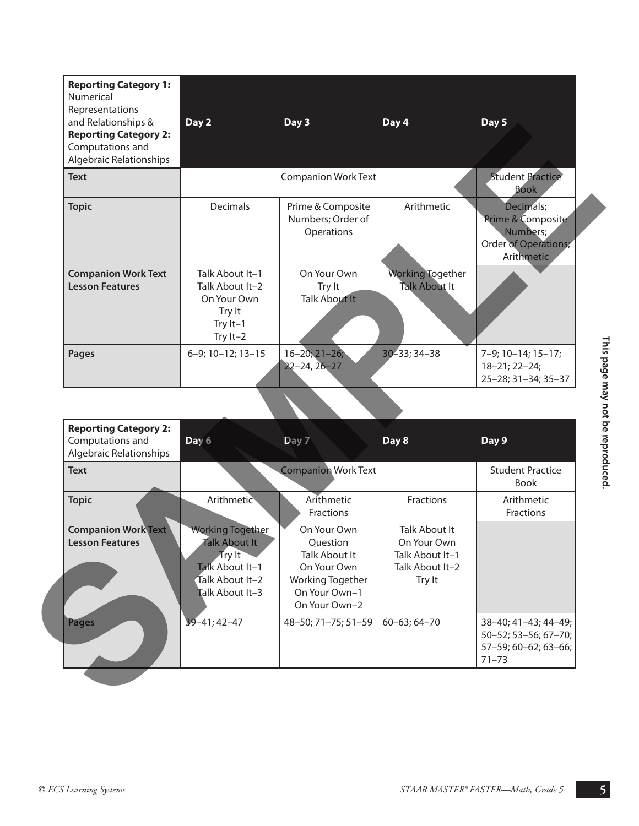| Numerical<br>Representations<br>and Relationships &<br><b>Reporting Category 2:</b><br>Computations and<br>Algebraic Relationships | Day 2                                                                                                       | Day 3                                                                                                                | Day 4                                                                               | Day 5                                                                                   |
|------------------------------------------------------------------------------------------------------------------------------------|-------------------------------------------------------------------------------------------------------------|----------------------------------------------------------------------------------------------------------------------|-------------------------------------------------------------------------------------|-----------------------------------------------------------------------------------------|
| <b>Text</b>                                                                                                                        |                                                                                                             | <b>Companion Work Text</b>                                                                                           |                                                                                     | <b>Student Practice</b><br><b>Book</b>                                                  |
| <b>Topic</b>                                                                                                                       | <b>Decimals</b>                                                                                             | Prime & Composite<br>Numbers; Order of<br>Operations                                                                 | Arithmetic                                                                          | Decimals;<br>Prime & Composite<br>Numbers;<br><b>Order of Operations;</b><br>Arithmetic |
| <b>Companion Work Text</b><br><b>Lesson Features</b>                                                                               | Talk About It-1<br>Talk About It-2<br>On Your Own<br>Try It<br>Try It-1<br>Try $It-2$                       | On Your Own<br>Try It<br><b>Talk About It</b>                                                                        | <b>Working Together</b><br><b>Talk About It</b>                                     |                                                                                         |
| Pages                                                                                                                              | 6-9; 10-12; 13-15                                                                                           | $16 - 20; 21 - 26;$                                                                                                  | $30 - 33; 34 - 38$                                                                  | 7-9; 10-14; 15-17;<br>18-21; 22-24;                                                     |
|                                                                                                                                    |                                                                                                             | $22 - 24, 26 - 27$                                                                                                   |                                                                                     |                                                                                         |
|                                                                                                                                    |                                                                                                             |                                                                                                                      |                                                                                     |                                                                                         |
| <b>Reporting Category 2:</b><br>Computations and<br>Algebraic Relationships                                                        | Day 6                                                                                                       | Day 7                                                                                                                | Day 8                                                                               | Day 9                                                                                   |
| <b>Text</b>                                                                                                                        |                                                                                                             | <b>Companion Work Text</b>                                                                                           |                                                                                     | <b>Student Practice</b><br><b>Book</b>                                                  |
| <b>Topic</b>                                                                                                                       | Arithmetic                                                                                                  | Arithmetic<br>Fractions                                                                                              | Fractions                                                                           | 25-28; 31-34; 35-37<br>Arithmetic<br>Fractions                                          |
| <b>Companion Work Text</b><br><b>Lesson Features</b>                                                                               | <b>Working Together</b><br>Talk About It<br>Try It<br>Talk About It-1<br>Talk About It-2<br>Talk About It-3 | On Your Own<br>Question<br>Talk About It<br>On Your Own<br><b>Working Together</b><br>On Your Own-1<br>On Your Own-2 | <b>Talk About It</b><br>On Your Own<br>Talk About It-1<br>Talk About It-2<br>Try It |                                                                                         |

|                                                                             | 11 y 1 l – 2                                                                                                |                                                                                                                      |                                                                                     |                                                                                   |
|-----------------------------------------------------------------------------|-------------------------------------------------------------------------------------------------------------|----------------------------------------------------------------------------------------------------------------------|-------------------------------------------------------------------------------------|-----------------------------------------------------------------------------------|
| <b>Pages</b>                                                                | 6-9; 10-12; 13-15                                                                                           | $16 - 20; 21 - 26;$<br>$22 - 24, 26 - 27$                                                                            | 30-33; 34-38                                                                        | 7-9; 10-14; 15-17;<br>18-21; 22-24;<br>25-28; 31-34; 35-37                        |
|                                                                             |                                                                                                             |                                                                                                                      |                                                                                     |                                                                                   |
| <b>Reporting Category 2:</b><br>Computations and<br>Algebraic Relationships | Day 6                                                                                                       | Day 7                                                                                                                | Day 8                                                                               | Day 9                                                                             |
| <b>Text</b>                                                                 |                                                                                                             | <b>Companion Work Text</b>                                                                                           |                                                                                     | <b>Student Practice</b><br><b>Book</b>                                            |
| <b>Topic</b>                                                                | Arithmetic                                                                                                  | Arithmetic<br>Fractions                                                                                              | <b>Fractions</b>                                                                    | Arithmetic<br>Fractions                                                           |
| <b>Companion Work Text</b><br><b>Lesson Features</b>                        | <b>Working Together</b><br>Talk About It<br>Try It<br>Talk About It-1<br>Talk About It-2<br>Talk About It-3 | On Your Own<br>Question<br><b>Talk About It</b><br>On Your Own<br>Working Together<br>On Your Own-1<br>On Your Own-2 | <b>Talk About It</b><br>On Your Own<br>Talk About It-1<br>Talk About It-2<br>Try It |                                                                                   |
| <b>Pages</b>                                                                | $39 - 41; 42 - 47$                                                                                          | 48-50; 71-75; 51-59                                                                                                  | $60 - 63; 64 - 70$                                                                  | 38-40; 41-43; 44-49;<br>50-52; 53-56; 67-70;<br>57-59; 60-62; 63-66;<br>$71 - 73$ |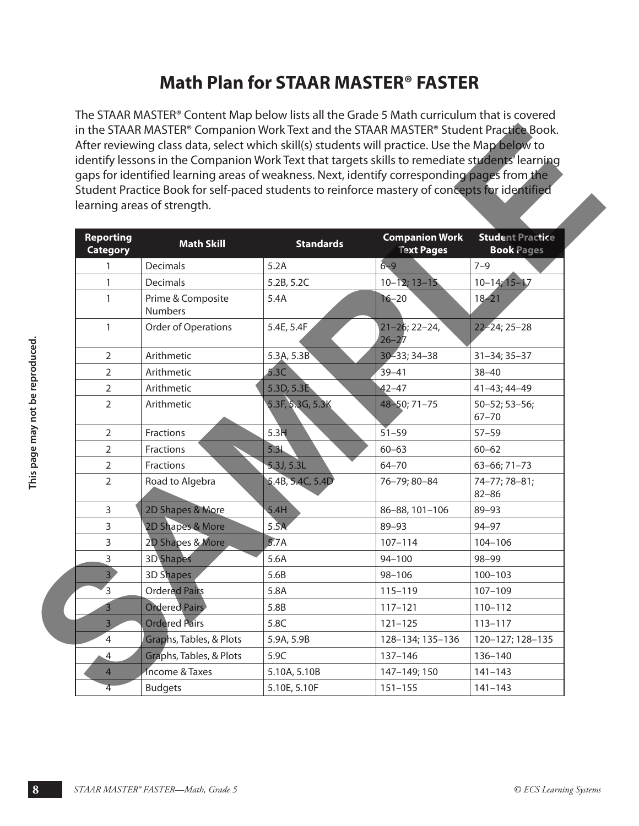# **Math Plan for STAAR MASTER® FASTER**

The STAAR MASTER® Content Map below lists all the Grade 5 Math curriculum that is covered in the STAAR MASTER® Companion Work Text and the STAAR MASTER® Student Practice Book. After reviewing class data, select which skill(s) students will practice. Use the Map below to identify lessons in the Companion Work Text that targets skills to remediate students' learning gaps for identified learning areas of weakness. Next, identify corresponding pages from the Student Practice Book for self-paced students to reinforce mastery of concepts for identified learning areas of strength.

| <b>Reporting</b><br><b>Category</b> | <b>Math Skill</b>                   | <b>Standards</b> | <b>Companion Work</b><br><b>Text Pages</b> | <b>Student Practice</b><br><b>Book Pages</b> |
|-------------------------------------|-------------------------------------|------------------|--------------------------------------------|----------------------------------------------|
| 1                                   | Decimals                            | 5.2A             | $6 - 9$                                    | $7 - 9$                                      |
| 1                                   | Decimals                            | 5.2B, 5.2C       | $10 - 12; 13 - 15$                         | $10 - 14; 15 - 17$                           |
| 1                                   | Prime & Composite<br><b>Numbers</b> | 5.4A             | $16 - 20$                                  | $18 - 21$                                    |
| 1                                   | Order of Operations                 | 5.4E, 5.4F       | $21 - 26$ ; 22-24,<br>$26 - 27$            | $22 - 24; 25 - 28$                           |
| 2                                   | Arithmetic                          | 5.3A, 5.3B       | 30-33; 34-38                               | $31 - 34; 35 - 37$                           |
| $\overline{2}$                      | Arithmetic                          | 5.3C             | $39 - 41$                                  | $38 - 40$                                    |
| $\overline{2}$                      | Arithmetic                          | 5.3D, 5.3E       | $42 - 47$                                  | 41-43; 44-49                                 |
| 2                                   | Arithmetic                          | 5.3F, 5.3G, 5.3K | $48 - 50$ ; 71-75                          | $50 - 52; 53 - 56;$<br>$67 - 70$             |
| 2                                   | Fractions                           | 5.3H             | $51 - 59$                                  | $57 - 59$                                    |
| $\overline{2}$                      | Fractions                           | 5.31             | $60 - 63$                                  | $60 - 62$                                    |
| 2                                   | Fractions                           | 5.3J, 5.3L       | $64 - 70$                                  | 63-66; 71-73                                 |
| 2                                   | Road to Algebra                     | 5.4B, 5.4C, 5.4D | 76-79; 80-84                               | 74-77; 78-81;<br>$82 - 86$                   |
| 3                                   | 2D Shapes & More                    | 5.4H             | 86-88, 101-106                             | 89-93                                        |
| 3                                   | 2D Shapes & More                    | 5.5A             | 89-93                                      | $94 - 97$                                    |
| 3                                   | 2D Shapes & More                    | 5.7A             | $107 - 114$                                | 104-106                                      |
| 3                                   | <b>3D</b> Shapes                    | 5.6A             | $94 - 100$                                 | 98-99                                        |
| 3                                   | 3D Shapes                           | 5.6B             | $98 - 106$                                 | $100 - 103$                                  |
| 3                                   | <b>Ordered Pairs</b>                | 5.8A             | 115-119                                    | $107 - 109$                                  |
|                                     | <b>Ordered Pairs</b>                | 5.8B             | $117 - 121$                                | $110 - 112$                                  |
| 3                                   | <b>Ordered Pairs</b>                | 5.8C             | $121 - 125$                                | $113 - 117$                                  |
| 4                                   | Graphs, Tables, & Plots             | 5.9A, 5.9B       | 128-134; 135-136                           | 120-127; 128-135                             |
| 4                                   | Graphs, Tables, & Plots             | 5.9C             | 137-146                                    | 136-140                                      |
| 4                                   | Income & Taxes                      | 5.10A, 5.10B     | 147-149; 150                               | $141 - 143$                                  |
| 4                                   | <b>Budgets</b>                      | 5.10E, 5.10F     | $151 - 155$                                | $141 - 143$                                  |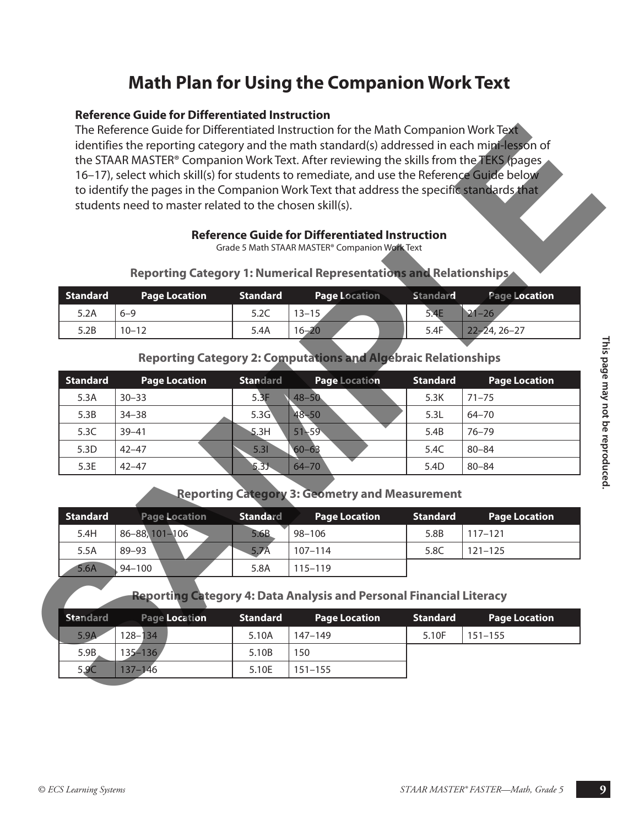# **Math Plan for Using the Companion Work Text**

#### **Reference Guide for Differentiated Instruction**

#### **Reference Guide for Differentiated Instruction**

| <b>Reporting Category 1: Numerical Representations and Relationships</b> |  |  |
|--------------------------------------------------------------------------|--|--|
|--------------------------------------------------------------------------|--|--|

| <b>Standard</b> | <b>Page Location</b> | <b>Standard</b> | <b>Page Location</b> | <b>Standard</b> | Page Location      |
|-----------------|----------------------|-----------------|----------------------|-----------------|--------------------|
| 5.2A            | $6 - 9$              | 5.2C            | $13 - 15$            | 5.4E            | $21 - 26$          |
| 5.2B            | $10 - 12$            | 5.4A            | $16 - 20$            | 5.4F            | $22 - 24, 26 - 27$ |

#### **Reporting Category 2: Computations and Algebraic Relationships**

|                 |                                                                            |                 | <b>Reference Guide for Differentiated Instruction</b><br>Grade 5 Math STAAR MASTER® Companion Work Text |                                                                       |                      |
|-----------------|----------------------------------------------------------------------------|-----------------|---------------------------------------------------------------------------------------------------------|-----------------------------------------------------------------------|----------------------|
|                 | Reporting Category 1: Numerical Representations and Relationships          |                 |                                                                                                         |                                                                       |                      |
| <b>Standard</b> | <b>Page Location</b>                                                       | <b>Standard</b> | <b>Page Location</b>                                                                                    | <b>Standard</b>                                                       | Page Location        |
| 5.2A            | $6 - 9$                                                                    | 5.2C            | $13 - 15$                                                                                               | 5.4E                                                                  | $21 - 26$            |
| 5.2B            | $10 - 12$                                                                  | 5.4A            | $16 - 20$                                                                                               | 5.4F                                                                  | $22 - 24, 26 - 27$   |
|                 |                                                                            |                 |                                                                                                         | <b>Reporting Category 2: Computations and Algebraic Relationships</b> |                      |
| <b>Standard</b> | <b>Page Location</b>                                                       | <b>Standard</b> | <b>Page Location</b>                                                                                    | <b>Standard</b>                                                       | <b>Page Location</b> |
| 5.3A            | $30 - 33$                                                                  | 5.3F            | $48 - 50$                                                                                               | 5.3K                                                                  | $71 - 75$            |
| 5.3B            | $34 - 38$                                                                  | 5.3G            | $48 - 50$                                                                                               | 5.3L                                                                  | $64 - 70$            |
| 5.3C            | $39 - 41$                                                                  | 5.3H            | $51 - 59$                                                                                               | 5.4B                                                                  | $76 - 79$            |
| 5.3D            | $42 - 47$                                                                  | 5.31            | $60 - 63$                                                                                               | 5.4C                                                                  | $80 - 84$            |
| 5.3E            | $42 - 47$                                                                  | 5.3J            | $64 - 70$                                                                                               | 5.4D                                                                  | $80 - 84$            |
|                 |                                                                            |                 |                                                                                                         | <b>Reporting Category 3: Geometry and Measurement</b>                 |                      |
| <b>Standard</b> | <b>Page Location</b>                                                       | <b>Standard</b> | <b>Page Location</b>                                                                                    | <b>Standard</b>                                                       | <b>Page Location</b> |
| 5.4H            | 86-88, 101-106                                                             | 5.6B            | $98 - 106$                                                                                              | 5.8B                                                                  | $117 - 121$          |
| 5.5A            | 89-93                                                                      | 5.7A            | $107 - 114$                                                                                             | 5.8C                                                                  | $121 - 125$          |
| 5.6A            | $94 - 100$                                                                 | 5.8A            | $115 - 119$                                                                                             |                                                                       |                      |
|                 |                                                                            |                 |                                                                                                         |                                                                       |                      |
|                 | <b>Reporting Category 4: Data Analysis and Personal Financial Literacy</b> |                 |                                                                                                         |                                                                       |                      |
| <b>Standard</b> | <b>Page Location</b>                                                       | <b>Standard</b> | <b>Page Location</b>                                                                                    | <b>Standard</b>                                                       | <b>Page Location</b> |
| 5.9A            | $128 - 134$                                                                | 5.10A           | 147-149                                                                                                 | 5.10F                                                                 | $151 - 155$          |
| 5.9B            | 135-136                                                                    | 5.10B           | 150                                                                                                     |                                                                       |                      |
| 5.9C            | $137 - 146$                                                                | 5.10E           | $151 - 155$                                                                                             |                                                                       |                      |
|                 |                                                                            |                 |                                                                                                         |                                                                       |                      |

#### **Reporting Category 3: Geometry and Measurement**

| <b>Standard</b> |                | <b>Page Location</b> | <b>Standard</b> | <b>Page Location</b> | <b>Standard</b> | <b>Page Location</b> |
|-----------------|----------------|----------------------|-----------------|----------------------|-----------------|----------------------|
| 5.4H            | 86-88, 101-106 |                      | 5.6B            | 98-106               | 5.8B            | $117 - 121$          |
| 5.5A            | $89 - 93$      |                      | 5.7A            | $107 - 114$          | 5.8C            | $121 - 125$          |
| 5.6A            | $94 - 100$     |                      | 5.8A            | $115 - 119$          |                 |                      |

#### **Reporting Category 4: Data Analysis and Personal Financial Literacy**

| <b>Standard</b> | <b>Page Location</b> | <b>Standard</b> | <b>Page Location</b> | Standard | <b>Page Location</b> |
|-----------------|----------------------|-----------------|----------------------|----------|----------------------|
| 5.9A            | $128 - 134$          | 5.10A           | 147–149              | 5.10F    | $151 - 155$          |
| 5.9B            | $135 - 136$          | 5.10B           | 150                  |          |                      |
| 5.9C            | $137 - 146$          | 5.10E           | $151 - 155$          |          |                      |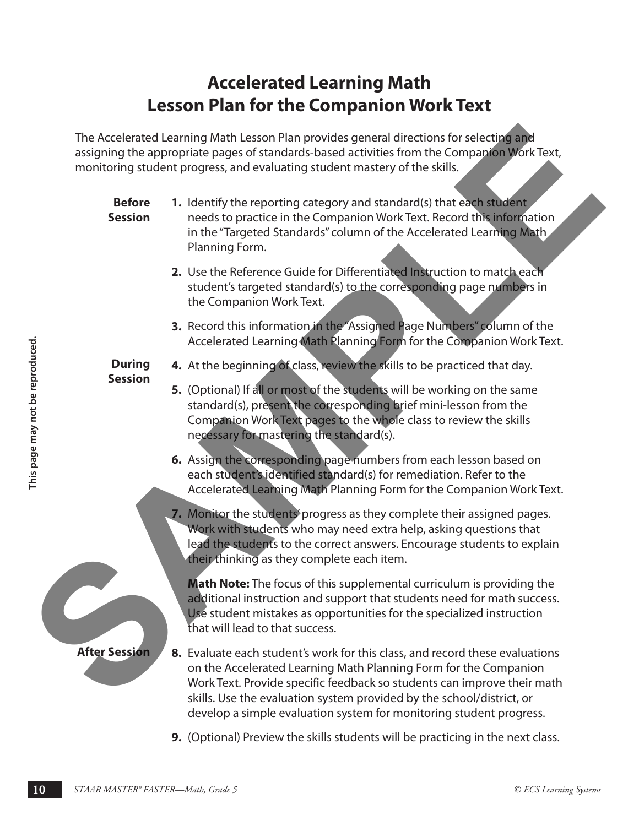# **Accelerated Learning Math Lesson Plan for the Companion Work Text**

|                                  |                                    | The Accelerated Learning Math Lesson Plan provides general directions for selecting and<br>assigning the appropriate pages of standards-based activities from the Companion Work Text,<br>monitoring student progress, and evaluating student mastery of the skills.                                                                                                        |
|----------------------------------|------------------------------------|-----------------------------------------------------------------------------------------------------------------------------------------------------------------------------------------------------------------------------------------------------------------------------------------------------------------------------------------------------------------------------|
|                                  | <b>Before</b><br><b>Session</b>    | 1. Identify the reporting category and standard(s) that each student<br>needs to practice in the Companion Work Text. Record this information<br>in the "Targeted Standards" column of the Accelerated Learning Math<br>Planning Form.                                                                                                                                      |
|                                  |                                    | 2. Use the Reference Guide for Differentiated Instruction to match each<br>student's targeted standard(s) to the corresponding page numbers in<br>the Companion Work Text.                                                                                                                                                                                                  |
|                                  |                                    | 3. Record this information in the "Assigned Page Numbers" column of the<br>Accelerated Learning Math Planning Form for the Companion Work Text.                                                                                                                                                                                                                             |
|                                  | <b>During</b>                      | 4. At the beginning of class, review the skills to be practiced that day.                                                                                                                                                                                                                                                                                                   |
| This page may not be reproduced. | <b>Session</b>                     | 5. (Optional) If all or most of the students will be working on the same<br>standard(s), present the corresponding brief mini-lesson from the<br>Companion Work Text pages to the whole class to review the skills<br>necessary for mastering the standard(s).                                                                                                              |
|                                  |                                    | 6. Assign the corresponding page numbers from each lesson based on<br>each student's identified standard(s) for remediation. Refer to the<br>Accelerated Learning Math Planning Form for the Companion Work Text.                                                                                                                                                           |
|                                  |                                    | 7. Monitor the students progress as they complete their assigned pages.<br>Work with students who may need extra help, asking questions that<br>lead the students to the correct answers. Encourage students to explain<br>their thinking as they complete each item.                                                                                                       |
|                                  |                                    | Math Note: The focus of this supplemental curriculum is providing the<br>additional instruction and support that students need for math success.<br>Use student mistakes as opportunities for the specialized instruction<br>that will lead to that success.                                                                                                                |
|                                  | <b>After Session</b>               | 8. Evaluate each student's work for this class, and record these evaluations<br>on the Accelerated Learning Math Planning Form for the Companion<br>Work Text. Provide specific feedback so students can improve their math<br>skills. Use the evaluation system provided by the school/district, or<br>develop a simple evaluation system for monitoring student progress. |
|                                  |                                    | 9. (Optional) Preview the skills students will be practicing in the next class.                                                                                                                                                                                                                                                                                             |
|                                  |                                    |                                                                                                                                                                                                                                                                                                                                                                             |
| 10                               | STAAR MASTER® FASTER-Math, Grade 5 | © ECS Learning Systems                                                                                                                                                                                                                                                                                                                                                      |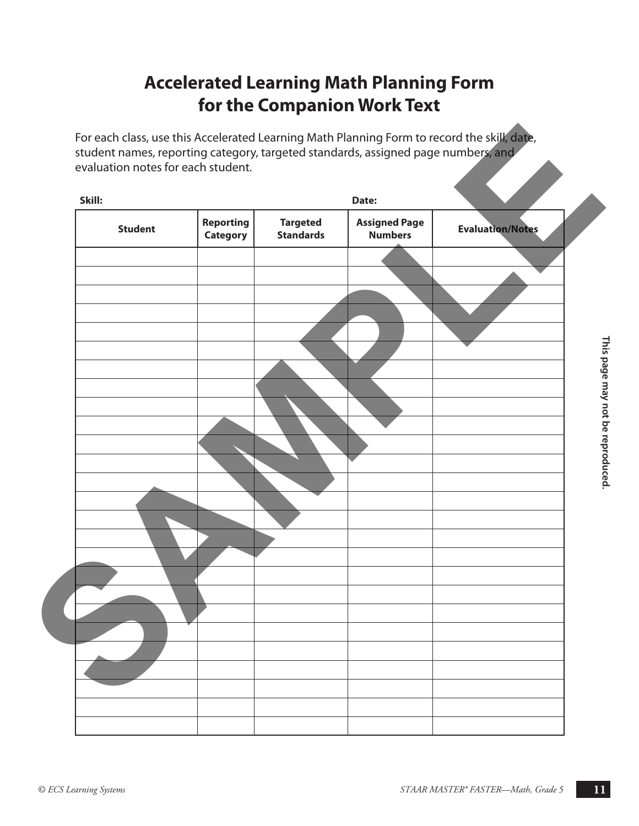# **Accelerated Learning Math Planning Form for the Companion Work Text**

| Skill:         |                                     |                                     | Date:                                  |                         |
|----------------|-------------------------------------|-------------------------------------|----------------------------------------|-------------------------|
| <b>Student</b> | <b>Reporting</b><br><b>Category</b> | <b>Targeted</b><br><b>Standards</b> | <b>Assigned Page</b><br><b>Numbers</b> | <b>Evaluation/Notes</b> |
|                |                                     |                                     |                                        |                         |
|                |                                     |                                     |                                        |                         |
|                |                                     |                                     |                                        |                         |
|                |                                     |                                     |                                        |                         |
|                |                                     |                                     |                                        |                         |
|                |                                     |                                     |                                        |                         |
|                |                                     |                                     |                                        |                         |
|                |                                     |                                     |                                        |                         |
|                |                                     |                                     |                                        |                         |
|                |                                     |                                     |                                        |                         |
|                |                                     |                                     |                                        |                         |
|                |                                     |                                     |                                        |                         |
|                |                                     |                                     |                                        |                         |
|                |                                     |                                     |                                        |                         |
|                |                                     |                                     |                                        |                         |
|                |                                     |                                     |                                        |                         |
|                |                                     |                                     |                                        |                         |
|                |                                     |                                     |                                        |                         |
|                |                                     |                                     |                                        |                         |
|                |                                     |                                     |                                        |                         |
|                |                                     |                                     |                                        |                         |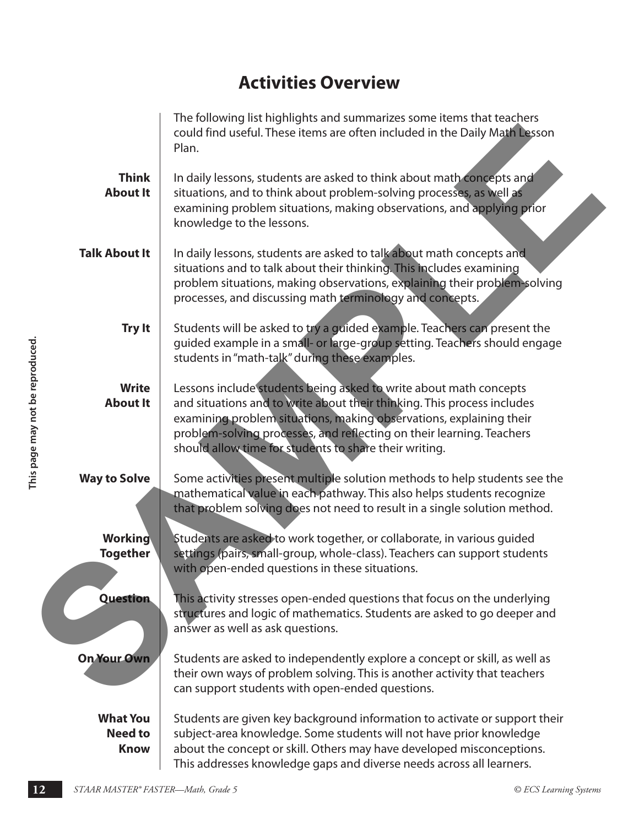# **Activities Overview**

|                                 |                                                  | The following list highlights and summarizes some items that teachers<br>could find useful. These items are often included in the Daily Math Lesson<br>Plan.                                                                                                                                                                                           |                        |
|---------------------------------|--------------------------------------------------|--------------------------------------------------------------------------------------------------------------------------------------------------------------------------------------------------------------------------------------------------------------------------------------------------------------------------------------------------------|------------------------|
|                                 | <b>Think</b><br><b>About It</b>                  | In daily lessons, students are asked to think about math concepts and<br>situations, and to think about problem-solving processes, as well as<br>examining problem situations, making observations, and applying prior<br>knowledge to the lessons.                                                                                                    |                        |
|                                 | <b>Talk About It</b>                             | In daily lessons, students are asked to talk about math concepts and<br>situations and to talk about their thinking. This includes examining<br>problem situations, making observations, explaining their problem-solving<br>processes, and discussing math terminology and concepts.                                                                  |                        |
|                                 | <b>Try It</b>                                    | Students will be asked to try a guided example. Teachers can present the<br>guided example in a small- or large-group setting. Teachers should engage<br>students in "math-talk" during these examples.                                                                                                                                                |                        |
| This page may not be reproduced | <b>Write</b><br><b>About It</b>                  | Lessons include students being asked to write about math concepts<br>and situations and to write about their thinking. This process includes<br>examining problem situations, making observations, explaining their<br>problem-solving processes, and reflecting on their learning. Teachers<br>should allow time for students to share their writing. |                        |
|                                 | <b>Way to Solve</b>                              | Some activities present multiple solution methods to help students see the<br>mathematical value in each pathway. This also helps students recognize<br>that problem solving does not need to result in a single solution method.                                                                                                                      |                        |
|                                 | Working<br><b>Together</b>                       | Students are asked to work together, or collaborate, in various guided<br>settings (pairs, small-group, whole-class). Teachers can support students<br>with open-ended questions in these situations.                                                                                                                                                  |                        |
|                                 | <b>Question</b>                                  | This activity stresses open-ended questions that focus on the underlying<br>structures and logic of mathematics. Students are asked to go deeper and<br>answer as well as ask questions.                                                                                                                                                               |                        |
|                                 | On Your Own                                      | Students are asked to independently explore a concept or skill, as well as<br>their own ways of problem solving. This is another activity that teachers<br>can support students with open-ended questions.                                                                                                                                             |                        |
|                                 | <b>What You</b><br><b>Need to</b><br><b>Know</b> | Students are given key background information to activate or support their<br>subject-area knowledge. Some students will not have prior knowledge<br>about the concept or skill. Others may have developed misconceptions.<br>This addresses knowledge gaps and diverse needs across all learners.                                                     |                        |
| 12                              | STAAR MASTER® FASTER-Math, Grade 5               |                                                                                                                                                                                                                                                                                                                                                        | © ECS Learning Systems |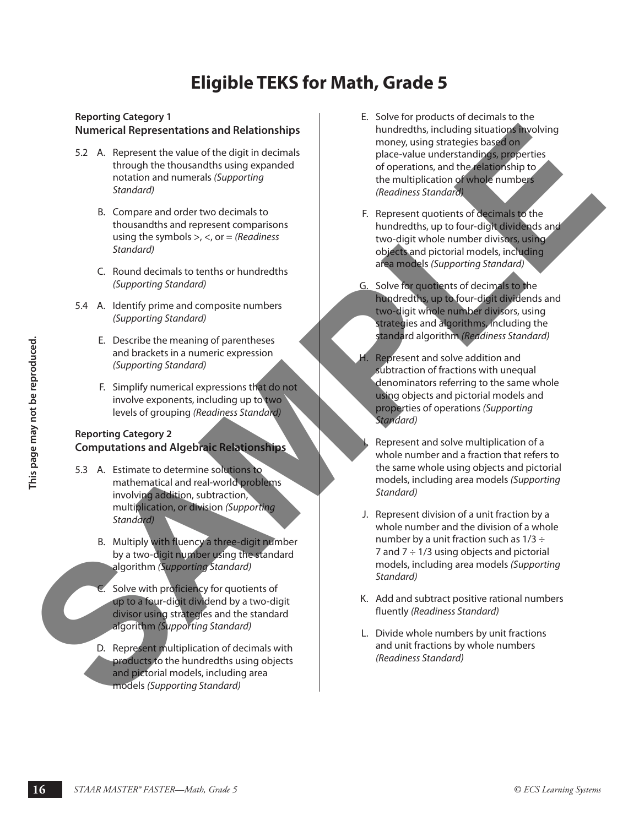# **Eligible TEKS for Math, Grade 5**

#### **Reporting Category 1 Numerical Representations and Relationships**

- 5.2 A. Represent the value of the digit in decimals through the thousandths using expanded notation and numerals *(Supporting Standard)*
	- B. Compare and order two decimals to thousandths and represent comparisons using the symbols >, <, or = *(Readiness Standard)*
	- C. Round decimals to tenths or hundredths *(Supporting Standard)*
- 5.4 A. Identify prime and composite numbers *(Supporting Standard)*
	- E. Describe the meaning of parentheses and brackets in a numeric expression *(Supporting Standard)*
	- F. Simplify numerical expressions that do not involve exponents, including up to two levels of grouping *(Readiness Standard)*

#### **Reporting Category 2 Computations and Algebraic Relationships**

- 5.3 A. Estimate to determine solutions to mathematical and real-world problems involving addition, subtraction, multiplication, or division *(Supporting Standard)*
	- B. Multiply with fluency a three-digit number by a two-digit number using the standard algorithm *(Supporting Standard)*
	- C. Solve with proficiency for quotients of up to a four-digit dividend by a two-digit divisor using strategies and the standard algorithm *(Supporting Standard)*
	- D. Represent multiplication of decimals with products to the hundredths using objects and pictorial models, including area models *(Supporting Standard)*
- E. Solve for products of decimals to the hundredths, including situations involving money, using strategies based on place-value understandings, properties of operations, and the relationship to the multiplication of whole numbers *(Readiness Standard)* **Numerical Representations and Relationships**<br>
SAMPLER CONSULTING THE CONSULTING TRANSPORTATION CONSULTING THE CONSULTING TRANSPORTATION CONSULTING TRANSPORT (C. Round detections to compute and process computations to comp
	- F. Represent quotients of decimals to the hundredths, up to four-digit dividends and two-digit whole number divisors, using objects and pictorial models, including area models *(Supporting Standard)*
	- G. Solve for quotients of decimals to the hundredths, up to four-digit dividends and two-digit whole number divisors, using strategies and algorithms, including the standard algorithm *(Readiness Standard)*
	- H. Represent and solve addition and subtraction of fractions with unequal denominators referring to the same whole using objects and pictorial models and properties of operations *(Supporting Standard)*
		- Represent and solve multiplication of a whole number and a fraction that refers to the same whole using objects and pictorial models, including area models *(Supporting Standard)*
- **16 Example the meaning System and parenthesis in a numeric expressions that do net control and solve dediction and<br>
<b>16 Example in the start of the start of the start of the start of the start of the start of the st** J. Represent division of a unit fraction by a whole number and the division of a whole number by a unit fraction such as  $1/3 \div$ 7 and  $7 \div 1/3$  using objects and pictorial models, including area models *(Supporting Standard)*
	- K. Add and subtract positive rational numbers fluently *(Readiness Standard)*
	- L. Divide whole numbers by unit fractions and unit fractions by whole numbers *(Readiness Standard)*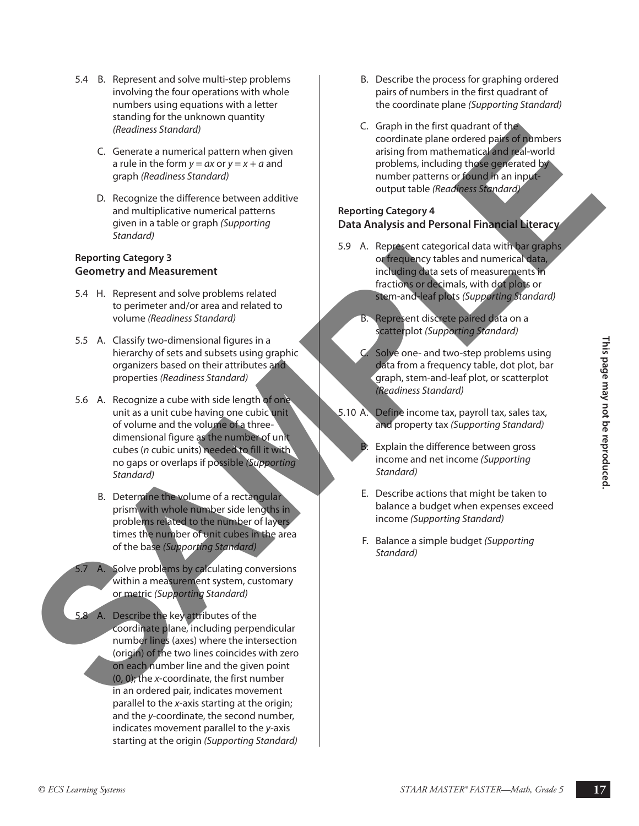- 5.4 B. Represent and solve multi-step problems involving the four operations with whole numbers using equations with a letter standing for the unknown quantity *(Readiness Standard)*
	- C. Generate a numerical pattern when given a rule in the form  $y = ax$  or  $y = x + a$  and graph *(Readiness Standard)*
	- D. Recognize the difference between additive and multiplicative numerical patterns given in a table or graph *(Supporting Standard)*

#### **Reporting Category 3 Geometry and Measurement**

- 5.4 H. Represent and solve problems related to perimeter and/or area and related to volume *(Readiness Standard)*
- 5.5 A. Classify two-dimensional figures in a hierarchy of sets and subsets using graphic organizers based on their attributes and properties *(Readiness Standard)*
- 5.6 A. Recognize a cube with side length of one unit as a unit cube having one cubic unit of volume and the volume of a threedimensional figure as the number of unit cubes (*n* cubic units) needed to fill it with no gaps or overlaps if possible *(Supporting Standard)*
	- B. Determine the volume of a rectangular prism with whole number side lengths in problems related to the number of layers times the number of unit cubes in the area of the base *(Supporting Standard)*
- 5.7 A. Solve problems by calculating conversions within a measurement system, customary or metric *(Supporting Standard)*
- **S.5** A. Soussign two-dimensional figures in a subset to interaction the ratio behaviour state of the best from a fect there is a subset of the behavior one of the state of the best from a fect there is a subset of the be 5.8 A. Describe the key attributes of the coordinate plane, including perpendicular number lines (axes) where the intersection (origin) of the two lines coincides with zero on each number line and the given point (0, 0); the *x*-coordinate, the first number in an ordered pair, indicates movement parallel to the *x*-axis starting at the origin; and the *y*-coordinate, the second number, indicates movement parallel to the *y*-axis starting at the origin *(Supporting Standard)* Conserver a conserver and particular technology of the first space of the conserver and the conserver and the conserver and the conserver and the conserver and the conserver and the conserver and the conserver and the cons
- B. Describe the process for graphing ordered pairs of numbers in the first quadrant of the coordinate plane *(Supporting Standard)*
- C. Graph in the first quadrant of the coordinate plane ordered pairs of numbers arising from mathematical and real-world problems, including those generated by number patterns or found in an inputoutput table *(Readiness Standard)*

#### **Reporting Category 4 Data Analysis and Personal Financial Literacy**

- 5.9 A. Represent categorical data with bar graphs or frequency tables and numerical data, including data sets of measurements in fractions or decimals, with dot plots or stem-and-leaf plots *(Supporting Standard)*
	- B. Represent discrete paired data on a scatterplot *(Supporting Standard)*
	- C. Solve one- and two-step problems using data from a frequency table, dot plot, bar graph, stem-and-leaf plot, or scatterplot *(Readiness Standard)*
- 5.10 A. Define income tax, payroll tax, sales tax, and property tax *(Supporting Standard)*
	- Explain the difference between gross income and net income *(Supporting Standard)*
	- E. Describe actions that might be taken to balance a budget when expenses exceed income *(Supporting Standard)*
	- F. Balance a simple budget *(Supporting Standard)*